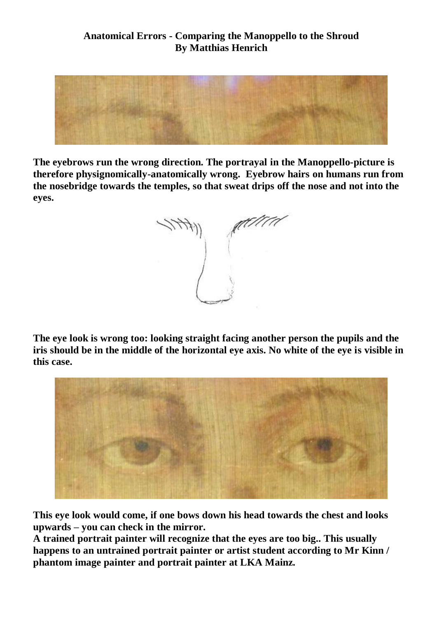## **Anatomical Errors - Comparing the Manoppello to the Shroud By Matthias Henrich**



**The eyebrows run the wrong direction. The portrayal in the Manoppello-picture is therefore physignomically-anatomically wrong. Eyebrow hairs on humans run from the nosebridge towards the temples, so that sweat drips off the nose and not into the eyes.** 

**The eye look is wrong too: looking straight facing another person the pupils and the iris should be in the middle of the horizontal eye axis. No white of the eye is visible in this case.** 



**This eye look would come, if one bows down his head towards the chest and looks upwards – you can check in the mirror.**

**A trained portrait painter will recognize that the eyes are too big.. This usually happens to an untrained portrait painter or artist student according to Mr Kinn / phantom image painter and portrait painter at LKA Mainz.**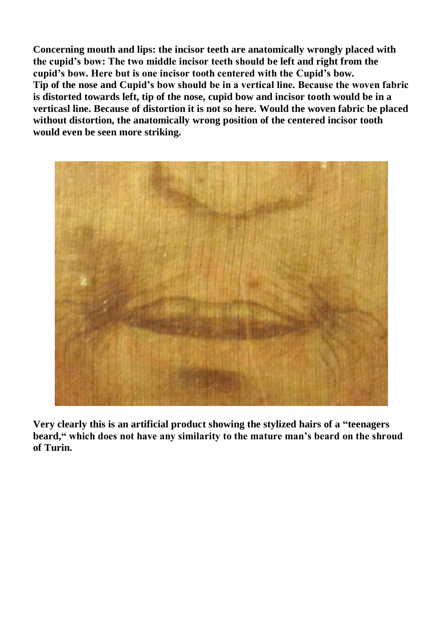**Concerning mouth and lips: the incisor teeth are anatomically wrongly placed with the cupid's bow: The two middle incisor teeth should be left and right from the cupid's bow. Here but is one incisor tooth centered with the Cupid's bow. Tip of the nose and Cupid's bow should be in a vertical line. Because the woven fabric is distorted towards left, tip of the nose, cupid bow and incisor tooth would be in a verticasl line. Because of distortion it is not so here. Would the woven fabric be placed without distortion, the anatomically wrong position of the centered incisor tooth would even be seen more striking.** 



**Very clearly this is an artificial product showing the stylized hairs of a "teenagers beard, " which does not have any similarity to the mature man's beard on the shroud of Turin.**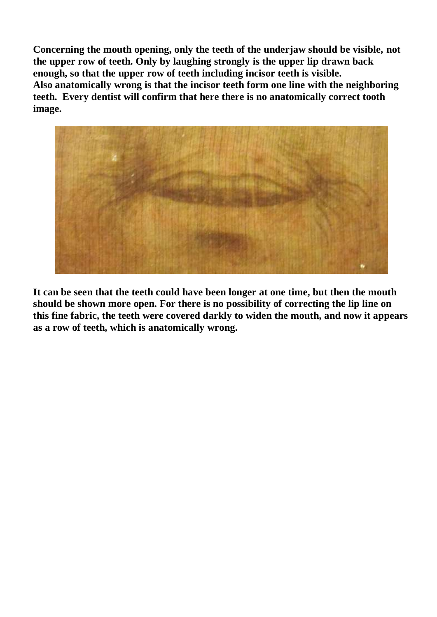**Concerning the mouth opening, only the teeth of the underjaw should be visible, not the upper row of teeth. Only by laughing strongly is the upper lip drawn back enough, so that the upper row of teeth including incisor teeth is visible. Also anatomically wrong is that the incisor teeth form one line with the neighboring teeth. Every dentist will confirm that here there is no anatomically correct tooth image.** 



**It can be seen that the teeth could have been longer at one time, but then the mouth should be shown more open. For there is no possibility of correcting the lip line on this fine fabric, the teeth were covered darkly to widen the mouth, and now it appears as a row of teeth, which is anatomically wrong.**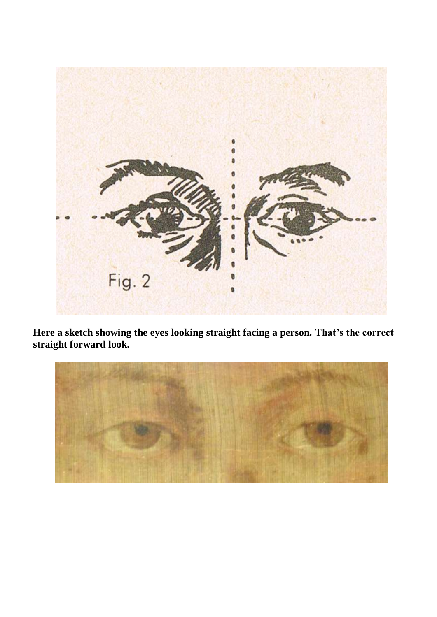

**Here a sketch showing the eyes looking straight facing a person. That's the correct straight forward look.** 

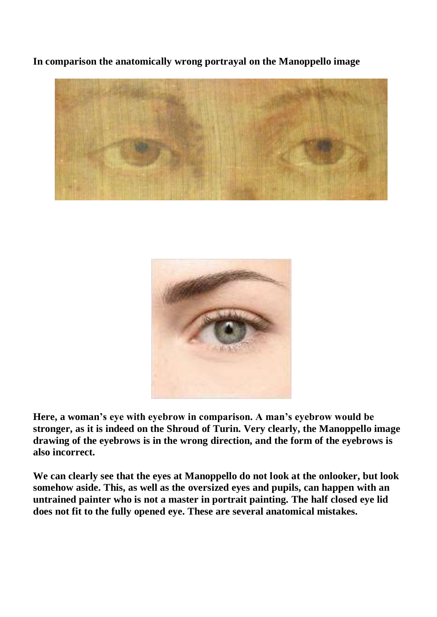**In comparison the anatomically wrong portrayal on the Manoppello image**





**Here, a woman's eye with eyebrow in comparison. A man's eyebrow would be stronger, as it is indeed on the Shroud of Turin. Very clearly, the Manoppello image drawing of the eyebrows is in the wrong direction, and the form of the eyebrows is also incorrect.** 

**We can clearly see that the eyes at Manoppello do not look at the onlooker, but look somehow aside. This, as well as the oversized eyes and pupils, can happen with an untrained painter who is not a master in portrait painting. The half closed eye lid does not fit to the fully opened eye. These are several anatomical mistakes.**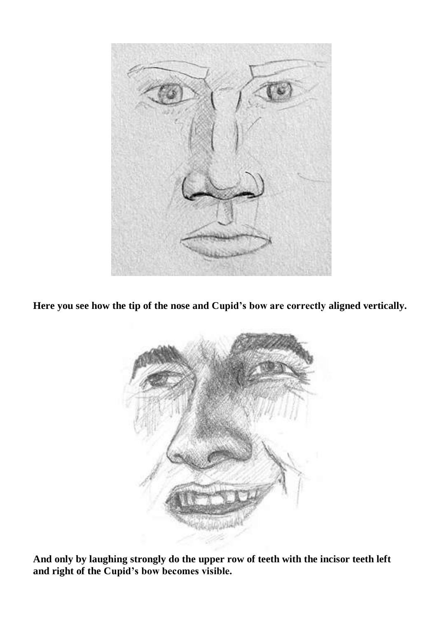

**Here you see how the tip of the nose and Cupid's bow are correctly aligned vertically.**



**And only by laughing strongly do the upper row of teeth with the incisor teeth left and right of the Cupid's bow becomes visible.**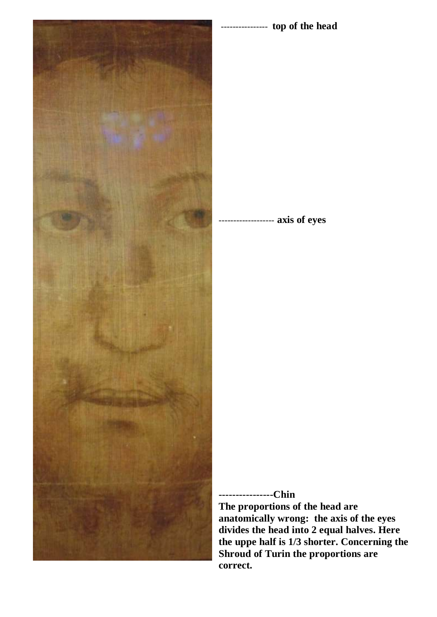

---------------- **top of the head**

-- axis of eyes

## **----------------Chin**

**The proportions of the head are anatomically wrong: the axis of the eyes divides the head into 2 equal halves. Here the uppe half is 1/3 shorter. Concerning the Shroud of Turin the proportions are correct.**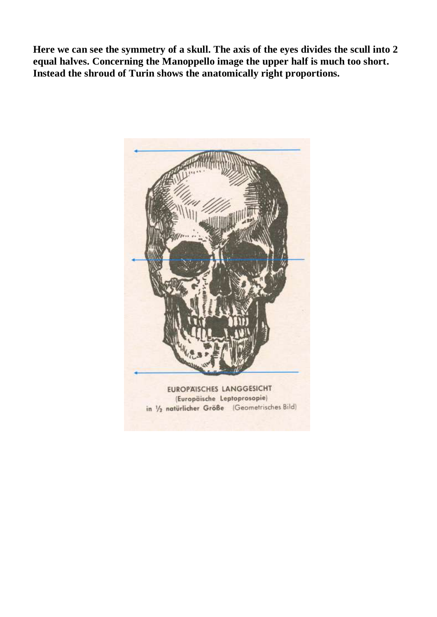**Here we can see the symmetry of a skull. The axis of the eyes divides the scull into 2 equal halves. Concerning the Manoppello image the upper half is much too short. Instead the shroud of Turin shows the anatomically right proportions.** 

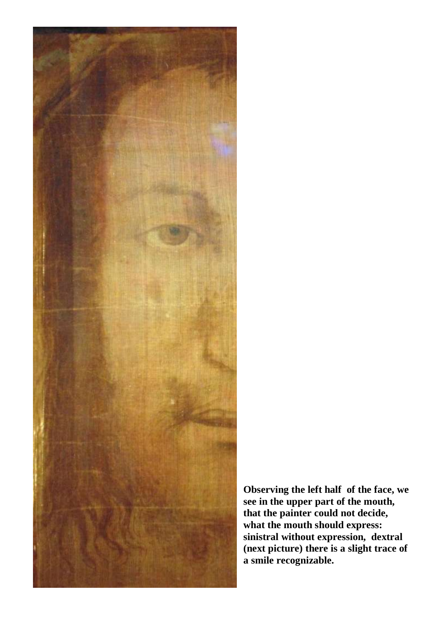

**Observing the left half of the face, we see in the upper part of the mouth, that the painter could not decide, what the mouth should express: sinistral without expression, dextral (next picture) there is a slight trace of a smile recognizable.**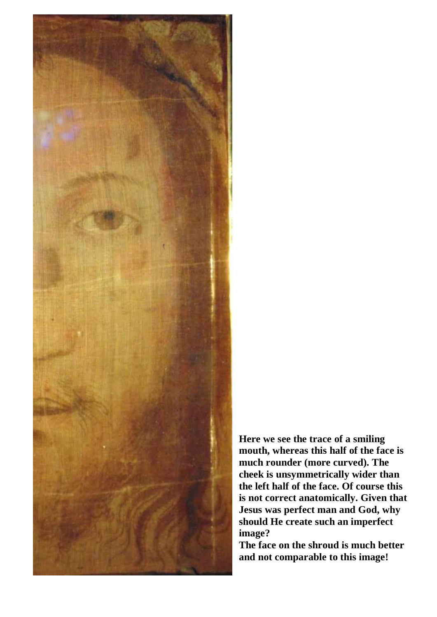

**Here we see the trace of a smiling mouth, whereas this half of the face is much rounder (more curved). The cheek is unsymmetrically wider than the left half of the face. Of course this is not correct anatomically. Given that Jesus was perfect man and God, why should He create such an imperfect image?**

**The face on the shroud is much better and not comparable to this image!**